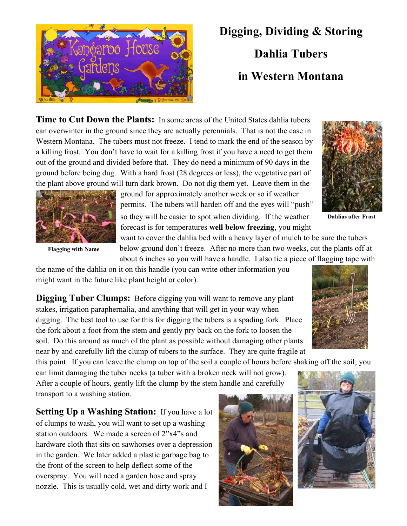

## Digging, Dividing & Storing Dahlia Tubers in Western Montana

Time to Cut Down the Plants: In some areas of the United States dahlia tubers can overwinter in the ground since they are actually perennials. That is not the case in Western Montana. The tubers must not freeze. I tend to mark the end of the season by a killing frost. You don't have to wait for a killing frost if you have a need to get them out of the ground and divided before that. They do need a minimum of 90 days in the ground before being dug. With a hard frost (28 degrees or less), the vegetative part of the plant above ground will turn dark brown. Do not dig them yet. Leave them in the



Flagging with Name

ground for approximately another week or so if weather permits. The tubers will harden off and the eyes will "push" so they will be easier to spot when dividing. If the weather forecast is for temperatures well below freezing, you might

Dahlias after Frost

want to cover the dahlia bed with a heavy layer of mulch to be sure the tubers below ground don't freeze. After no more than two weeks, cut the plants off at about 6 inches so you will have a handle. I also tie a piece of flagging tape with

the name of the dahlia on it on this handle (you can write other information you might want in the future like plant height or color).

**Digging Tuber Clumps:** Before digging you will want to remove any plant stakes, irrigation paraphernalia, and anything that will get in your way when digging. The best tool to use for this for digging the tubers is a spading fork. Place the fork about a foot from the stem and gently pry back on the fork to loosen the soil. Do this around as much of the plant as possible without damaging other plants near by and carefully lift the clump of tubers to the surface. They are quite fragile at

this point. If you can leave the clump on top of the soil a couple of hours before shaking off the soil, you

can limit damaging the tuber necks (a tuber with a broken neck will not grow). After a couple of hours, gently lift the clump by the stem handle and carefully transport to a washing station.

**Setting Up a Washing Station:** If you have a lot of clumps to wash, you will want to set up a washing station outdoors. We made a screen of 2"x4"s and hardware cloth that sits on sawhorses over a depression in the garden. We later added a plastic garbage bag to the front of the screen to help deflect some of the overspray. You will need a garden hose and spray nozzle. This is usually cold, wet and dirty work and I







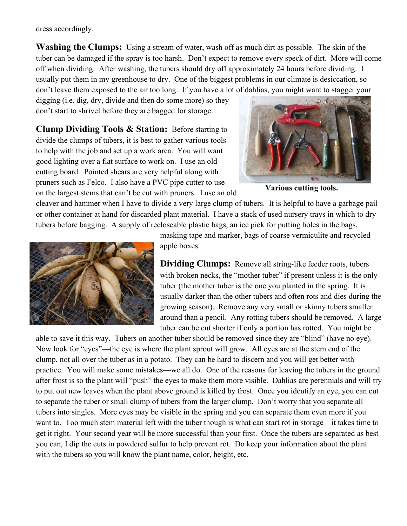dress accordingly.

Washing the Clumps: Using a stream of water, wash off as much dirt as possible. The skin of the tuber can be damaged if the spray is too harsh. Don't expect to remove every speck of dirt. More will come off when dividing. After washing, the tubers should dry off approximately 24 hours before dividing. I usually put them in my greenhouse to dry. One of the biggest problems in our climate is desiccation, so don't leave them exposed to the air too long. If you have a lot of dahlias, you might want to stagger your

digging (i.e. dig, dry, divide and then do some more) so they don't start to shrivel before they are bagged for storage.

Clump Dividing Tools & Station: Before starting to divide the clumps of tubers, it is best to gather various tools to help with the job and set up a work area. You will want good lighting over a flat surface to work on. I use an old cutting board. Pointed shears are very helpful along with pruners such as Felco. I also have a PVC pipe cutter to use on the largest stems that can't be cut with pruners. I use an old



Various cutting tools.

cleaver and hammer when I have to divide a very large clump of tubers. It is helpful to have a garbage pail or other container at hand for discarded plant material. I have a stack of used nursery trays in which to dry tubers before bagging. A supply of recloseable plastic bags, an ice pick for putting holes in the bags,



masking tape and marker, bags of coarse vermiculite and recycled apple boxes.

**Dividing Clumps:** Remove all string-like feeder roots, tubers with broken necks, the "mother tuber" if present unless it is the only tuber (the mother tuber is the one you planted in the spring. It is usually darker than the other tubers and often rots and dies during the growing season). Remove any very small or skinny tubers smaller around than a pencil. Any rotting tubers should be removed. A large tuber can be cut shorter if only a portion has rotted. You might be

able to save it this way. Tubers on another tuber should be removed since they are "blind" (have no eye). Now look for "eyes"—the eye is where the plant sprout will grow. All eyes are at the stem end of the clump, not all over the tuber as in a potato. They can be hard to discern and you will get better with practice. You will make some mistakes—we all do. One of the reasons for leaving the tubers in the ground after frost is so the plant will "push" the eyes to make them more visible. Dahlias are perennials and will try to put out new leaves when the plant above ground is killed by frost. Once you identify an eye, you can cut to separate the tuber or small clump of tubers from the larger clump. Don't worry that you separate all tubers into singles. More eyes may be visible in the spring and you can separate them even more if you want to. Too much stem material left with the tuber though is what can start rot in storage—it takes time to get it right. Your second year will be more successful than your first. Once the tubers are separated as best you can, I dip the cuts in powdered sulfur to help prevent rot. Do keep your information about the plant with the tubers so you will know the plant name, color, height, etc.